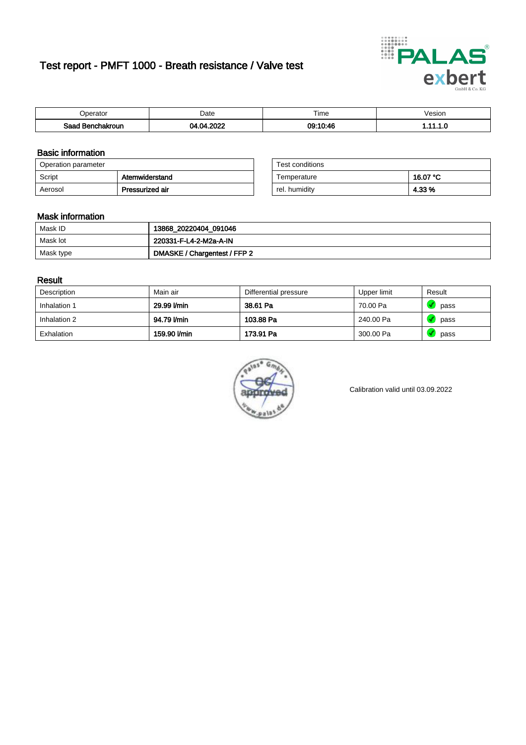# Test report - PMFT 1000 - Breath resistance / Valve test



| berator                      | Date            | $- \cdot$<br>ime    | /esion |
|------------------------------|-----------------|---------------------|--------|
| Saad<br><b>chakroun</b><br>. | റററ<br>м<br>''' | 09:10:46<br>ີ ບ. ແບ | .      |

### Basic information

| Operation parameter |                 | Test conditions |          |
|---------------------|-----------------|-----------------|----------|
| Script              | Atemwiderstand  | Temperature     | 16.07 °C |
| Aerosol             | Pressurized air | rel. humidity   | 4.33 %   |

| Test conditions |          |
|-----------------|----------|
| Temperature     | 16.07 °C |
| rel. humidity   | 4.33 %   |

#### Mask information

| Mask ID   | 13868_20220404_091046        |
|-----------|------------------------------|
| Mask lot  | 220331-F-L4-2-M2a-A-IN       |
| Mask type | DMASKE / Chargentest / FFP 2 |

### Result

| Description  | Main air     | Differential pressure | Upper limit | Result |
|--------------|--------------|-----------------------|-------------|--------|
| Inhalation 1 | 29.99 l/min  | 38.61 Pa              | 70.00 Pa    | pass   |
| Inhalation 2 | 94.79 l/min  | 103.88 Pa             | 240.00 Pa   | pass   |
| Exhalation   | 159.90 l/min | 173.91 Pa             | 300.00 Pa   | pass   |



Calibration valid until 03.09.2022